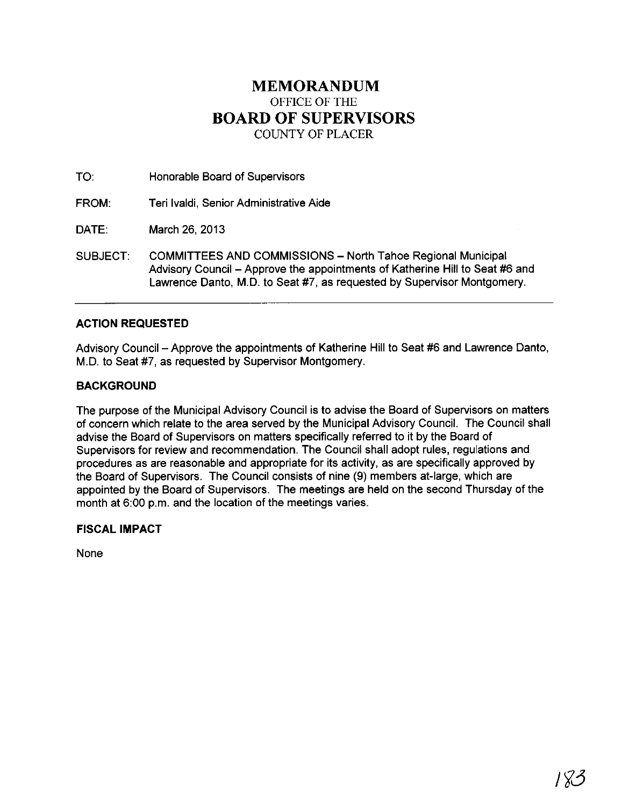# **MEMORANDUM** OFFICE OF THE **BOARD OF SUPERVISORS** COUNTY OF PLACER

TO: Honorable Board of Supervisors

FROM: Teri Ivaldi, Senior Administrative Aide

DATE: March 26, 2013

SUBJECT: COMMITTEES AND COMMISSIONS - North Tahoe Regional Municipal Advisory Council - Approve the appointments of Katherine Hill to Seat #6 and Lawrence Danto, M.D. to Seat #7, as requested by Supervisor Montgomery.

## **ACTION REQUESTED**

Advisory Council - Approve the appointments of Katherine Hill to Seat #6 and Lawrence Danto, M.D. to Seat #7, as requested by Supervisor Montgomery.

### **BACKGROUND**

The purpose of the Municipal Advisory Council is to advise the Board of Supervisors on matters of concern which relate to the area served by the Municipal Advisory Council. The Council shall advise the Board of Supervisors on matters specifically referred to it by the Board of Supervisors for review and recommendation. The Council shall adopt rules, regulations and procedures as are reasonable and appropriate for its activity, as are specifically approved by the Board of Supervisors. The Council consists of nine (9) members at-large, which are appointed by the Board of Supervisors. The meetings are held on the second Thursday of the month at 6:00 p.m. and the location of the meetings varies.

## **FISCAL IMPACT**

None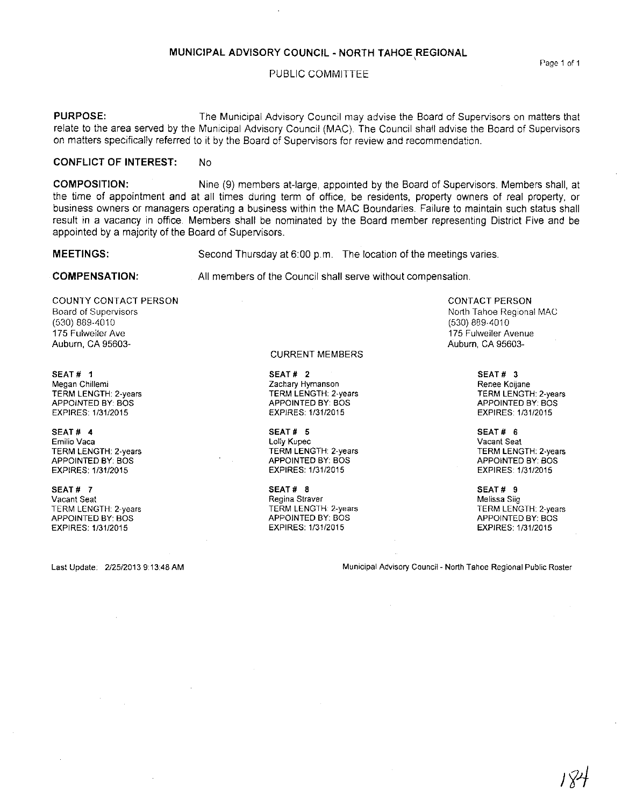#### **MUNICIPAL ADVISORY COUNCIL· NORTH TAHOE REGIONAL** ,

#### PUBLIC COMMITTEE

**PURPOSE:** The Municipal Advisory Council may advise the Board of Supervisors on matters that relate to the area served by the Municipal Advisory Council (MAC). The Council shall advise the Board of Supervisors on matters specifically referred to it by the Board of Supervisors for review and recommendation.

#### **CONFLICT OF INTEREST: No**

**COMPOSITION:** Nine (9) members at-large, appointed by the Board of Supervisors. Members shall, at the time of appointment and at all times during term of office, be residents, property owners of real property, or business owners or managers operating a business within the MAC Boundaries. Failure to maintain such status shall result in a vacancy in office. Members shall be nominated by the Board member representing District Five and be appointed by a majority of the Board of Supervisors.

**MEETINGS:**

Second Thursday at 6:00 p.m. The location of the meetings varies.

**COMPENSATION:**

All members of the Council shall serve without compensation.

COUNTY CONTACT PERSON **Board of Supervisors** (530) 889-4010 175 Fulweiler Ave Auburn, CA 95603-

SEAT # 1 **Megan Chillemi** TERM LENGTH: 2-years APPOINTED BY: BOS EXPIRES: 1/31/2015

SEAT # 4 **Emilio Vaca** TERM LENGTH: 2-years APPOINTED BY: BOS EXPIRES: 1/3112015

SEAT # 7 **Vacant Seat** TERM LENGTH: 2-years APPOINTED BY: BOS EXPIRES: 1131/2015

CURRENT MEMBERS

SEAT # 2 **Zachary Hymanson** TERM LENGTH: 2-years APPOINTED BY: BOS EXPIRES: 113112015

SEAT # 5 **Lolly Kupec** TERM LENGTH: 2-years APPOINTED BY: BOS EXPIRES: 1/31/2015

SEAT# 8 **Regina Straver** TERM LENGTH: 2-years APPOINTED BY: BOS EXPIRES: 1/31/2015

CONTACT PERSON North Tahoe Regional MAC (530) 889-4010 **175 Fulweiler Avenue** Auburn, CA 95603-

> SEAT # 3 **Renee Koijane** TERM LENGTH: 2-years APPOINTED BY: BOS EXPIRES: 1/31/2015

> SEAT # 6 **Vacant Seat** TERM LENGTH: 2-years APPOINTED BY: BOS EXPIRES: 1/31/2015

SEAT# 9 **Melissa Siig TERM LENGTH: 2-years** APPOINTED BY: BOS EXPIRES: 1/31/2015

Last Update: 2/25/20139:13:48 AM **Municipal Advisory Council- North Tahoe Regional Public Roster**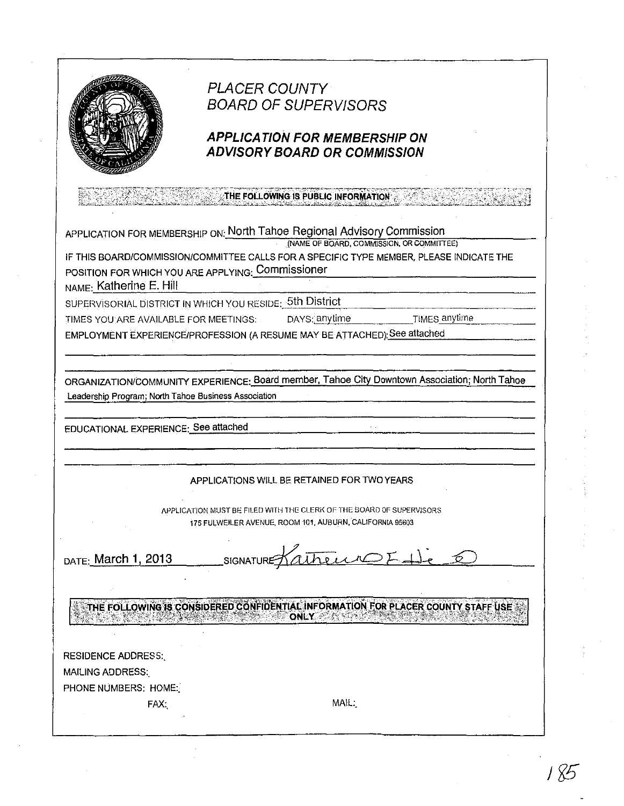

# **PLACER COUNTY BOARD OF SUPERVISORS**

## **APPLICATION FOR MEMBERSHIP ON ADVISORY BOARD OR COMMISSION**

THE FOLLOWING IS PUBLIC INFORMATION

APPLICATION FOR MEMBERSHIP ON: North Tahoe Regional Advisory Commission

(NAME OF BOARD, COMMISSION, OR COMMITTEE)

TIMES anytime

IF THIS BOARD/COMMISSION/COMMITTEE CALLS FOR A SPECIFIC TYPE MEMBER, PLEASE INDICATE THE POSITION FOR WHICH YOU ARE APPLYING: Commissioner

NAME: Katherine E. Hill

SUPERVISORIAL DISTRICT IN WHICH YOU RESIDE: 5th District

DAYS: anytime TIMES YOU ARE AVAILABLE FOR MEETINGS:

EMPLOYMENT EXPERIENCE/PROFESSION (A RESUME MAY BE ATTACHED): See attached

ORGANIZATION/COMMUNITY EXPERIENCE: Board member, Tahoe City Downtown Association: North Tahoe Leadership Program; North Tahoe Business Association

EDUCATIONAL EXPERIENCE: See attached

## APPLICATIONS WILL BE RETAINED FOR TWO YEARS

APPLICATION MUST BE FILED WITH THE CLERK OF THE BOARD OF SUPERVISORS 175 FULWEILER AVENUE, ROOM 101, AUBURN, CALIFORNIA 95603

DATE: March 1, 2013

SIGNATURE Kathering F 1).

THE FOLLOWING IS CONSIDERED CONFIDENTIAL INFORMATION FOR PLACER COUNTY STAFF USE **ONLY** 

**RESIDENCE ADDRESS: MAILING ADDRESS:** 

PHONE NUMBERS: HOME.

FAX:

MAIL: